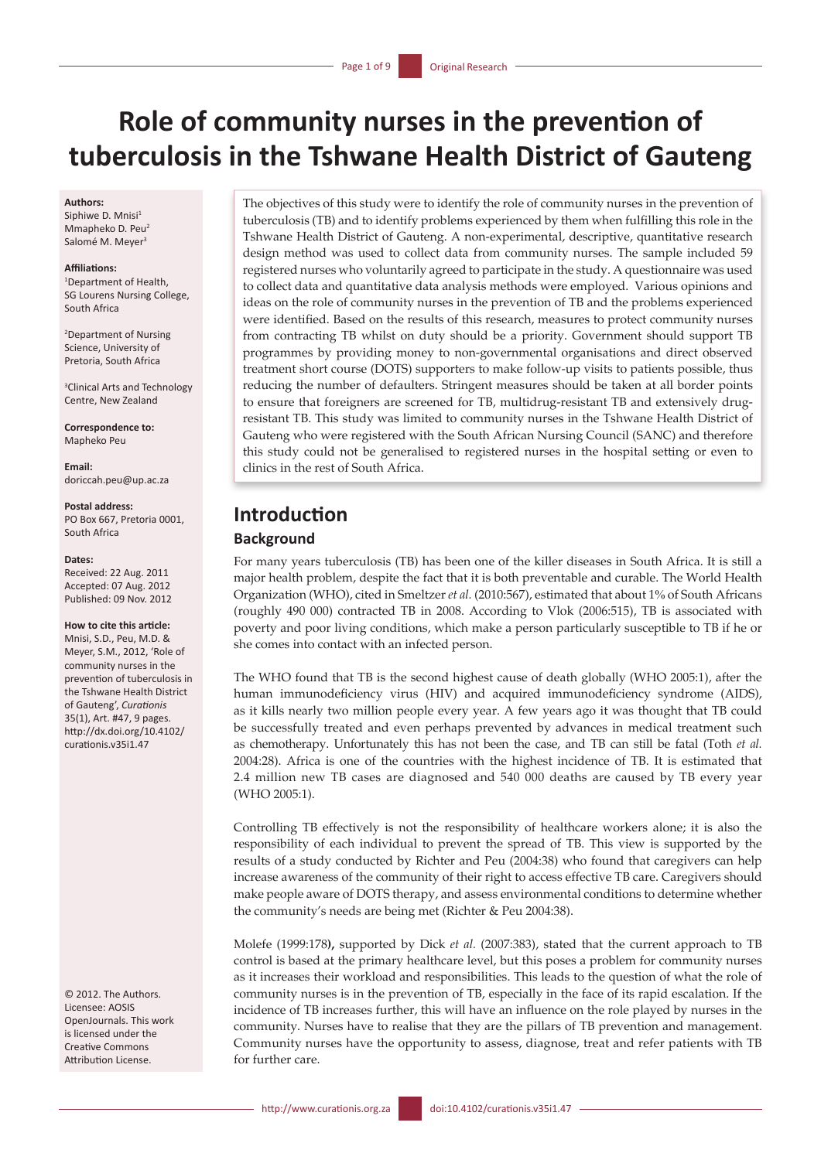# **Role of community nurses in the prevention of tuberculosis in the Tshwane Health District of Gauteng**

### **Authors:**

Siphiwe D. Mnisi<sup>1</sup> Mmapheko D. Peu<sup>2</sup> Salomé M. Meyer<sup>3</sup>

#### **Affiliations:**

1 Department of Health, SG Lourens Nursing College, South Africa

2 Department of Nursing Science, University of Pretoria, South Africa

<sup>3</sup> Clinical Arts and Technology Centre, New Zealand

**Correspondence to:** Mapheko Peu

**Email:** [doriccah.peu@up.ac.za](mailto:Doriccah.Peu@up.ac.za)

#### **Postal address:**

PO Box 667, Pretoria 0001, South Africa

#### **Dates:**

Received: 22 Aug. 2011 Accepted: 07 Aug. 2012 Published: 09 Nov. 2012

### **How to cite this article:**

Mnisi, S.D., Peu, M.D. & Meyer, S.M., 2012, 'Role of community nurses in the prevention of tuberculosis in the Tshwane Health District of Gauteng', *Curationis* 35(1), Art. #47, 9 pages. [http://dx.doi.org/10.4102/](http://dx.doi.org/10.4102/curationis.35i1.47) [curationis.v35i1.47](http://dx.doi.org/10.4102/curationis.35i1.47)

© 2012. The Authors. Licensee: AOSIS OpenJournals. This work is licensed under the Creative Commons Attribution License.

The objectives of this study were to identify the role of community nurses in the prevention of tuberculosis (TB) and to identify problems experienced by them when fulfilling this role in the Tshwane Health District of Gauteng. A non-experimental, descriptive, quantitative research design method was used to collect data from community nurses. The sample included 59 registered nurses who voluntarily agreed to participate in the study. A questionnaire was used to collect data and quantitative data analysis methods were employed. Various opinions and ideas on the role of community nurses in the prevention of TB and the problems experienced were identified. Based on the results of this research, measures to protect community nurses from contracting TB whilst on duty should be a priority. Government should support TB programmes by providing money to non-governmental organisations and direct observed treatment short course (DOTS) supporters to make follow-up visits to patients possible, thus reducing the number of defaulters. Stringent measures should be taken at all border points to ensure that foreigners are screened for TB, multidrug-resistant TB and extensively drugresistant TB. This study was limited to community nurses in the Tshwane Health District of Gauteng who were registered with the South African Nursing Council (SANC) and therefore this study could not be generalised to registered nurses in the hospital setting or even to clinics in the rest of South Africa.

## **Introduction**

## **Background**

For many years tuberculosis (TB) has been one of the killer diseases in South Africa. It is still a major health problem, despite the fact that it is both preventable and curable. The World Health Organization (WHO), cited in Smeltzer *et al.* (2010:567), estimated that about 1% of South Africans (roughly 490 000) contracted TB in 2008. According to Vlok (2006:515), TB is associated with poverty and poor living conditions, which make a person particularly susceptible to TB if he or she comes into contact with an infected person.

The WHO found that TB is the second highest cause of death globally (WHO 2005:1), after the human immunodeficiency virus (HIV) and acquired immunodeficiency syndrome (AIDS), as it kills nearly two million people every year. A few years ago it was thought that TB could be successfully treated and even perhaps prevented by advances in medical treatment such as chemotherapy. Unfortunately this has not been the case, and TB can still be fatal (Toth *et al.* 2004:28). Africa is one of the countries with the highest incidence of TB. It is estimated that 2.4 million new TB cases are diagnosed and 540 000 deaths are caused by TB every year (WHO 2005:1).

Controlling TB effectively is not the responsibility of healthcare workers alone; it is also the responsibility of each individual to prevent the spread of TB. This view is supported by the results of a study conducted by Richter and Peu (2004:38) who found that caregivers can help increase awareness of the community of their right to access effective TB care. Caregivers should make people aware of DOTS therapy, and assess environmental conditions to determine whether the community's needs are being met (Richter & Peu 2004:38).

Molefe (1999:178**),** supported by Dick *et al.* (2007:383), stated that the current approach to TB control is based at the primary healthcare level, but this poses a problem for community nurses as it increases their workload and responsibilities. This leads to the question of what the role of community nurses is in the prevention of TB, especially in the face of its rapid escalation. If the incidence of TB increases further, this will have an influence on the role played by nurses in the community. Nurses have to realise that they are the pillars of TB prevention and management. Community nurses have the opportunity to assess, diagnose, treat and refer patients with TB for further care.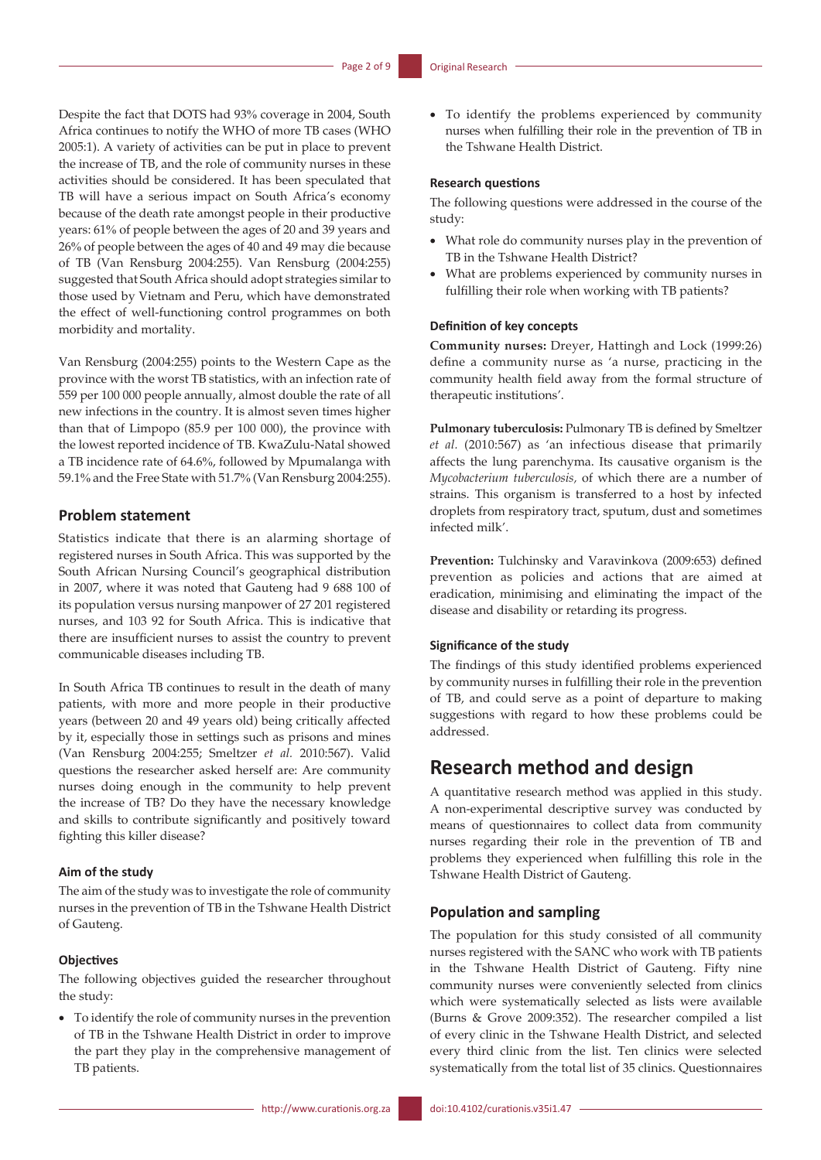Despite the fact that DOTS had 93% coverage in 2004, South Africa continues to notify the WHO of more TB cases (WHO 2005:1). A variety of activities can be put in place to prevent the increase of TB, and the role of community nurses in these activities should be considered. It has been speculated that TB will have a serious impact on South Africa's economy because of the death rate amongst people in their productive years: 61% of people between the ages of 20 and 39 years and 26% of people between the ages of 40 and 49 may die because of TB (Van Rensburg 2004:255). Van Rensburg (2004:255) suggested that South Africa should adopt strategies similar to those used by Vietnam and Peru, which have demonstrated the effect of well-functioning control programmes on both morbidity and mortality.

Van Rensburg (2004:255) points to the Western Cape as the province with the worst TB statistics, with an infection rate of 559 per 100 000 people annually, almost double the rate of all new infections in the country. It is almost seven times higher than that of Limpopo (85.9 per 100 000), the province with the lowest reported incidence of TB. KwaZulu-Natal showed a TB incidence rate of 64.6%, followed by Mpumalanga with 59.1% and the Free State with 51.7% (Van Rensburg 2004:255).

## **Problem statement**

Statistics indicate that there is an alarming shortage of registered nurses in South Africa. This was supported by the South African Nursing Council's geographical distribution in 2007, where it was noted that Gauteng had 9 688 100 of its population versus nursing manpower of 27 201 registered nurses, and 103 92 for South Africa. This is indicative that there are insufficient nurses to assist the country to prevent communicable diseases including TB.

In South Africa TB continues to result in the death of many patients, with more and more people in their productive years (between 20 and 49 years old) being critically affected by it, especially those in settings such as prisons and mines (Van Rensburg 2004:255; Smeltzer *et al.* 2010:567). Valid questions the researcher asked herself are: Are community nurses doing enough in the community to help prevent the increase of TB? Do they have the necessary knowledge and skills to contribute significantly and positively toward fighting this killer disease?

## **Aim of the study**

The aim of the study was to investigate the role of community nurses in the prevention of TB in the Tshwane Health District of Gauteng.

#### **Objectives**

The following objectives guided the researcher throughout the study:

• To identify the role of community nurses in the prevention of TB in the Tshwane Health District in order to improve the part they play in the comprehensive management of TB patients.

### **Research questions**

The following questions were addressed in the course of the study:

- What role do community nurses play in the prevention of TB in the Tshwane Health District?
- What are problems experienced by community nurses in fulfilling their role when working with TB patients?

### **Definition of key concepts**

**Community nurses:** Dreyer, Hattingh and Lock (1999:26) define a community nurse as 'a nurse, practicing in the community health field away from the formal structure of therapeutic institutions'.

**Pulmonary tuberculosis:** Pulmonary TB is defined by Smeltzer *et al.* (2010:567) as 'an infectious disease that primarily affects the lung parenchyma. Its causative organism is the *Mycobacterium tuberculosis,* of which there are a number of strains. This organism is transferred to a host by infected droplets from respiratory tract, sputum, dust and sometimes infected milk'.

**Prevention:** Tulchinsky and Varavinkova (2009:653) defined prevention as policies and actions that are aimed at eradication, minimising and eliminating the impact of the disease and disability or retarding its progress.

### **Significance of the study**

The findings of this study identified problems experienced by community nurses in fulfilling their role in the prevention of TB, and could serve as a point of departure to making suggestions with regard to how these problems could be addressed.

## **Research method and design**

A quantitative research method was applied in this study. A non-experimental descriptive survey was conducted by means of questionnaires to collect data from community nurses regarding their role in the prevention of TB and problems they experienced when fulfilling this role in the Tshwane Health District of Gauteng.

### **Population and sampling**

The population for this study consisted of all community nurses registered with the SANC who work with TB patients in the Tshwane Health District of Gauteng. Fifty nine community nurses were conveniently selected from clinics which were systematically selected as lists were available (Burns & Grove 2009:352). The researcher compiled a list of every clinic in the Tshwane Health District, and selected every third clinic from the list. Ten clinics were selected systematically from the total list of 35 clinics. Questionnaires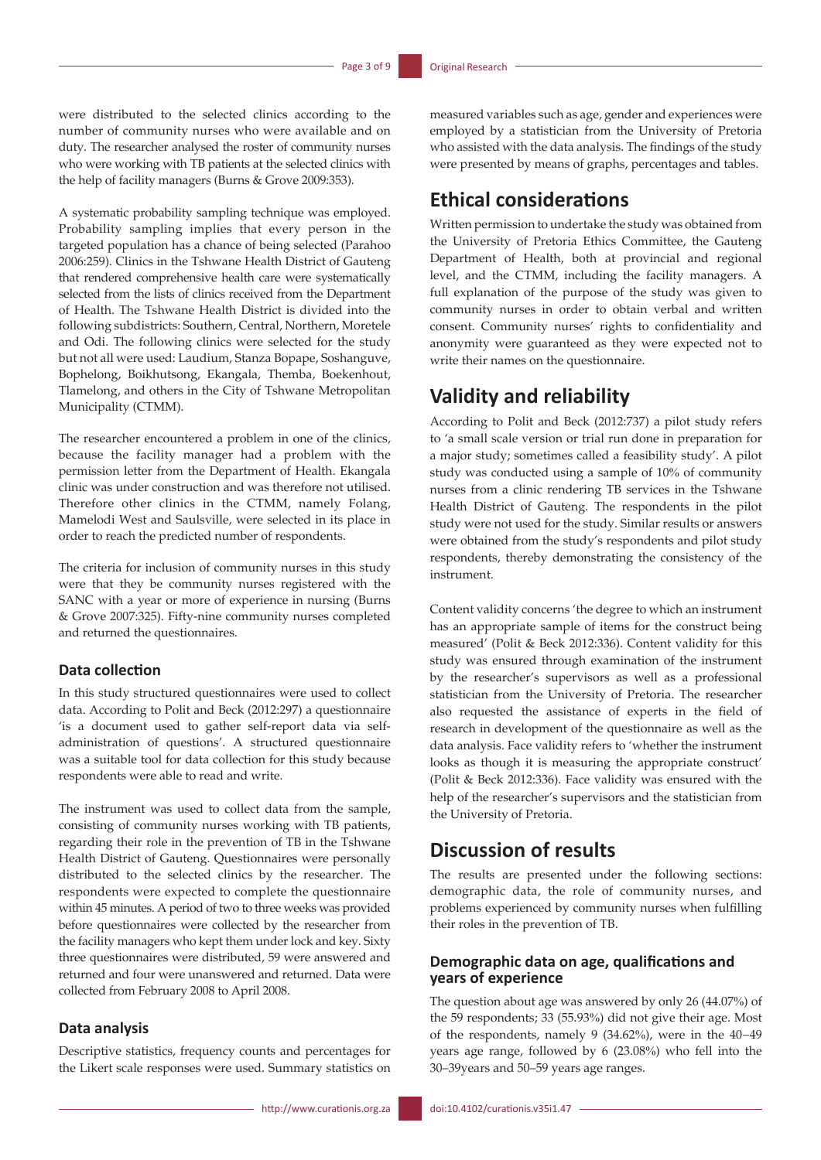were distributed to the selected clinics according to the number of community nurses who were available and on duty. The researcher analysed the roster of community nurses who were working with TB patients at the selected clinics with the help of facility managers (Burns & Grove 2009:353).

A systematic probability sampling technique was employed. Probability sampling implies that every person in the targeted population has a chance of being selected (Parahoo 2006:259). Clinics in the Tshwane Health District of Gauteng that rendered comprehensive health care were systematically selected from the lists of clinics received from the Department of Health. The Tshwane Health District is divided into the following subdistricts: Southern, Central, Northern, Moretele and Odi. The following clinics were selected for the study but not all were used: Laudium, Stanza Bopape, Soshanguve, Bophelong, Boikhutsong, Ekangala, Themba, Boekenhout, Tlamelong, and others in the City of Tshwane Metropolitan Municipality (CTMM).

The researcher encountered a problem in one of the clinics, because the facility manager had a problem with the permission letter from the Department of Health. Ekangala clinic was under construction and was therefore not utilised. Therefore other clinics in the CTMM, namely Folang, Mamelodi West and Saulsville, were selected in its place in order to reach the predicted number of respondents.

The criteria for inclusion of community nurses in this study were that they be community nurses registered with the SANC with a year or more of experience in nursing (Burns & Grove 2007:325). Fifty-nine community nurses completed and returned the questionnaires.

## **Data collection**

In this study structured questionnaires were used to collect data. According to Polit and Beck (2012:297) a questionnaire 'is a document used to gather self-report data via selfadministration of questions'. A structured questionnaire was a suitable tool for data collection for this study because respondents were able to read and write.

The instrument was used to collect data from the sample, consisting of community nurses working with TB patients, regarding their role in the prevention of TB in the Tshwane Health District of Gauteng. Questionnaires were personally distributed to the selected clinics by the researcher. The respondents were expected to complete the questionnaire within 45 minutes. A period of two to three weeks was provided before questionnaires were collected by the researcher from the facility managers who kept them under lock and key. Sixty three questionnaires were distributed, 59 were answered and returned and four were unanswered and returned. Data were collected from February 2008 to April 2008.

### **Data analysis**

Descriptive statistics, frequency counts and percentages for the Likert scale responses were used. Summary statistics on

 $-$  http://www.curationis.org.za doi:10.4102/curationis.v35i1.47  $-$ 

measured variables such as age, gender and experiences were employed by a statistician from the University of Pretoria who assisted with the data analysis. The findings of the study were presented by means of graphs, percentages and tables.

## **Ethical considerations**

Written permission to undertake the study was obtained from the University of Pretoria Ethics Committee, the Gauteng Department of Health, both at provincial and regional level, and the CTMM, including the facility managers. A full explanation of the purpose of the study was given to community nurses in order to obtain verbal and written consent. Community nurses' rights to confidentiality and anonymity were guaranteed as they were expected not to write their names on the questionnaire.

## **Validity and reliability**

According to Polit and Beck (2012:737) a pilot study refers to 'a small scale version or trial run done in preparation for a major study; sometimes called a feasibility study'. A pilot study was conducted using a sample of 10% of community nurses from a clinic rendering TB services in the Tshwane Health District of Gauteng. The respondents in the pilot study were not used for the study. Similar results or answers were obtained from the study's respondents and pilot study respondents, thereby demonstrating the consistency of the instrument.

Content validity concerns 'the degree to which an instrument has an appropriate sample of items for the construct being measured' (Polit & Beck 2012:336). Content validity for this study was ensured through examination of the instrument by the researcher's supervisors as well as a professional statistician from the University of Pretoria. The researcher also requested the assistance of experts in the field of research in development of the questionnaire as well as the data analysis. Face validity refers to 'whether the instrument looks as though it is measuring the appropriate construct' (Polit & Beck 2012:336). Face validity was ensured with the help of the researcher's supervisors and the statistician from the University of Pretoria.

## **Discussion of results**

The results are presented under the following sections: demographic data, the role of community nurses, and problems experienced by community nurses when fulfilling their roles in the prevention of TB.

## **Demographic data on age, qualifications and years of experience**

The question about age was answered by only 26 (44.07%) of the 59 respondents; 33 (55.93%) did not give their age. Most of the respondents, namely 9 (34.62%), were in the 40−49 years age range, followed by 6 (23.08%) who fell into the 30–39years and 50–59 years age ranges.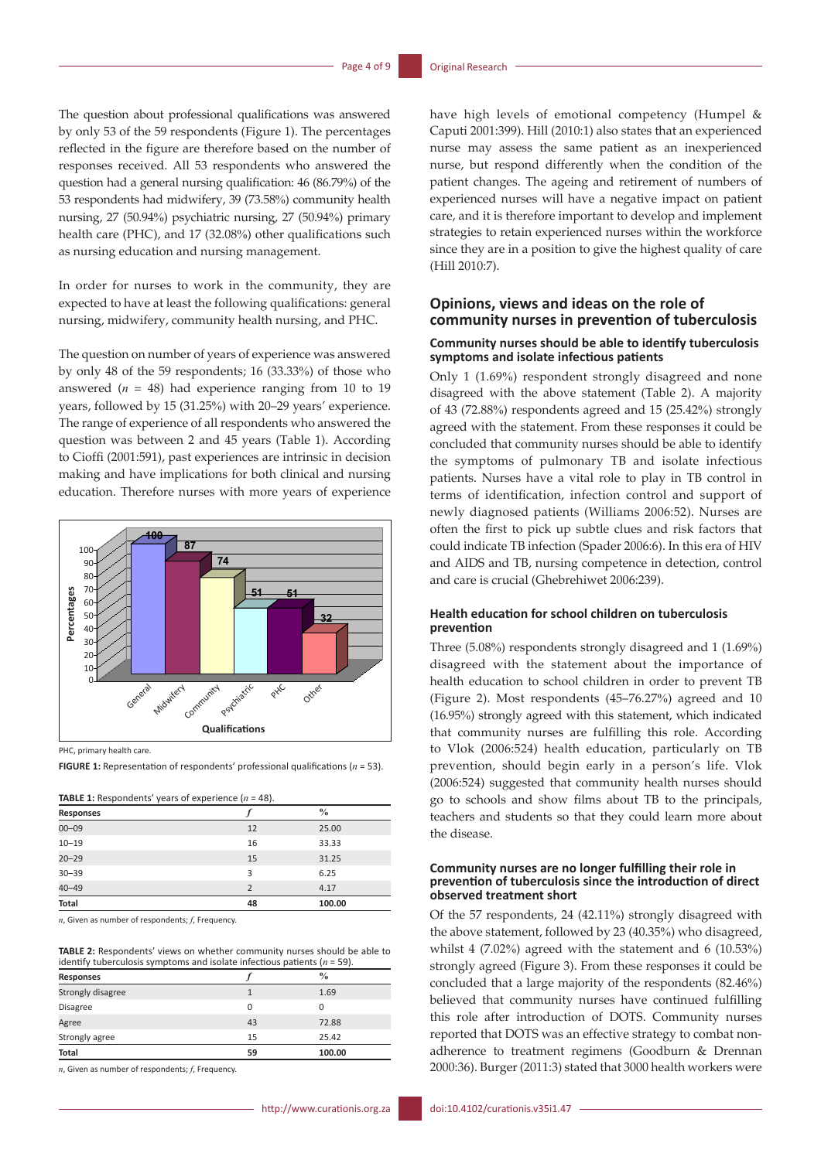The question about professional qualifications was answered by only 53 of the 59 respondents (Figure 1). The percentages reflected in the figure are therefore based on the number of responses received. All 53 respondents who answered the question had a general nursing qualification: 46 (86.79%) of the 53 respondents had midwifery, 39 (73.58%) community health nursing, 27 (50.94%) psychiatric nursing, 27 (50.94%) primary health care (PHC), and 17 (32.08%) other qualifications such as nursing education and nursing management.

In order for nurses to work in the community, they are expected to have at least the following qualifications: general nursing, midwifery, community health nursing, and PHC.

The question on number of years of experience was answered by only 48 of the 59 respondents; 16 (33.33%) of those who answered (*n* = 48) had experience ranging from 10 to 19 years, followed by 15 (31.25%) with 20–29 years' experience. The range of experience of all respondents who answered the question was between 2 and 45 years (Table 1). According to Cioffi (2001:591), past experiences are intrinsic in decision making and have implications for both clinical and nursing education. Therefore nurses with more years of experience



PHC, primary health care.

| <b>TABLE 1:</b> Respondents' years of experience $(n = 48)$ . |  |  |  |  |
|---------------------------------------------------------------|--|--|--|--|
|---------------------------------------------------------------|--|--|--|--|

| Responses    |               | $\frac{0}{0}$ |
|--------------|---------------|---------------|
| $00 - 09$    | 12            | 25.00         |
| $10 - 19$    | 16            | 33.33         |
| $20 - 29$    | 15            | 31.25         |
| $30 - 39$    | 3             | 6.25          |
| $40 - 49$    | $\mathcal{P}$ | 4.17          |
| <b>Total</b> | 48            | 100.00        |

*n*, Given as number of respondents; *f*, Frequency.

**TABLE 2:** Respondents' views on whether community nurses should be able to identify tuberculosis symptoms and isolate infectious patients (*n* = 59).

| Responses         |    | $\frac{0}{0}$ |
|-------------------|----|---------------|
| Strongly disagree |    | 1.69          |
| <b>Disagree</b>   | 0  |               |
| Agree             | 43 | 72.88         |
| Strongly agree    | 15 | 25.42         |
| <b>Total</b>      | 59 | 100.00        |

*n*, Given as number of respondents; *f*, Frequency.

have high levels of emotional competency (Humpel & Caputi 2001:399). Hill (2010:1) also states that an experienced nurse may assess the same patient as an inexperienced nurse, but respond differently when the condition of the patient changes. The ageing and retirement of numbers of experienced nurses will have a negative impact on patient care, and it is therefore important to develop and implement strategies to retain experienced nurses within the workforce since they are in a position to give the highest quality of care (Hill 2010:7).

## **Opinions, views and ideas on the role of community nurses in prevention of tuberculosis**

### **Community nurses should be able to identify tuberculosis symptoms and isolate infectious patients**

Only 1 (1.69%) respondent strongly disagreed and none disagreed with the above statement (Table 2). A majority of 43 (72.88%) respondents agreed and 15 (25.42%) strongly agreed with the statement. From these responses it could be concluded that community nurses should be able to identify the symptoms of pulmonary TB and isolate infectious patients. Nurses have a vital role to play in TB control in terms of identification, infection control and support of newly diagnosed patients (Williams 2006:52). Nurses are often the first to pick up subtle clues and risk factors that could indicate TB infection (Spader 2006:6). In this era of HIV and AIDS and TB, nursing competence in detection, control and care is crucial (Ghebrehiwet 2006:239).

## **Health education for school children on tuberculosis Community prevention**

Three (5.08%) respondents strongly disagreed and 1 (1.69%) disagreed with the statement about the importance of health education to school children in order to prevent TB (Figure 2). Most respondents (45–76.27%) agreed and 10 (16.95%) strongly agreed with this statement, which indicated that community nurses are fulfilling this role. According to Vlok (2006:524) health education, particularly on TB prevention, should begin early in a person's life. Vlok (2006:524) suggested that community health nurses should go to schools and show films about TB to the principals, teachers and students so that they could learn more about the disease.

#### **Community nurses are no longer fulfilling their role in prevention of tuberculosis since the introduction of direct observed treatment short**

Of the 57 respondents, 24 (42.11%) strongly disagreed with the above statement, followed by 23 (40.35%) who disagreed, whilst 4 (7.02%) agreed with the statement and 6 (10.53%) strongly agreed (Figure 3). From these responses it could be concluded that a large majority of the respondents (82.46%) believed that community nurses have continued fulfilling this role after introduction of DOTS. Community nurses reported that DOTS was an effective strategy to combat nonadherence to treatment regimens (Goodburn & Drennan 2000:36). Burger (2011:3) stated that 3000 health workers were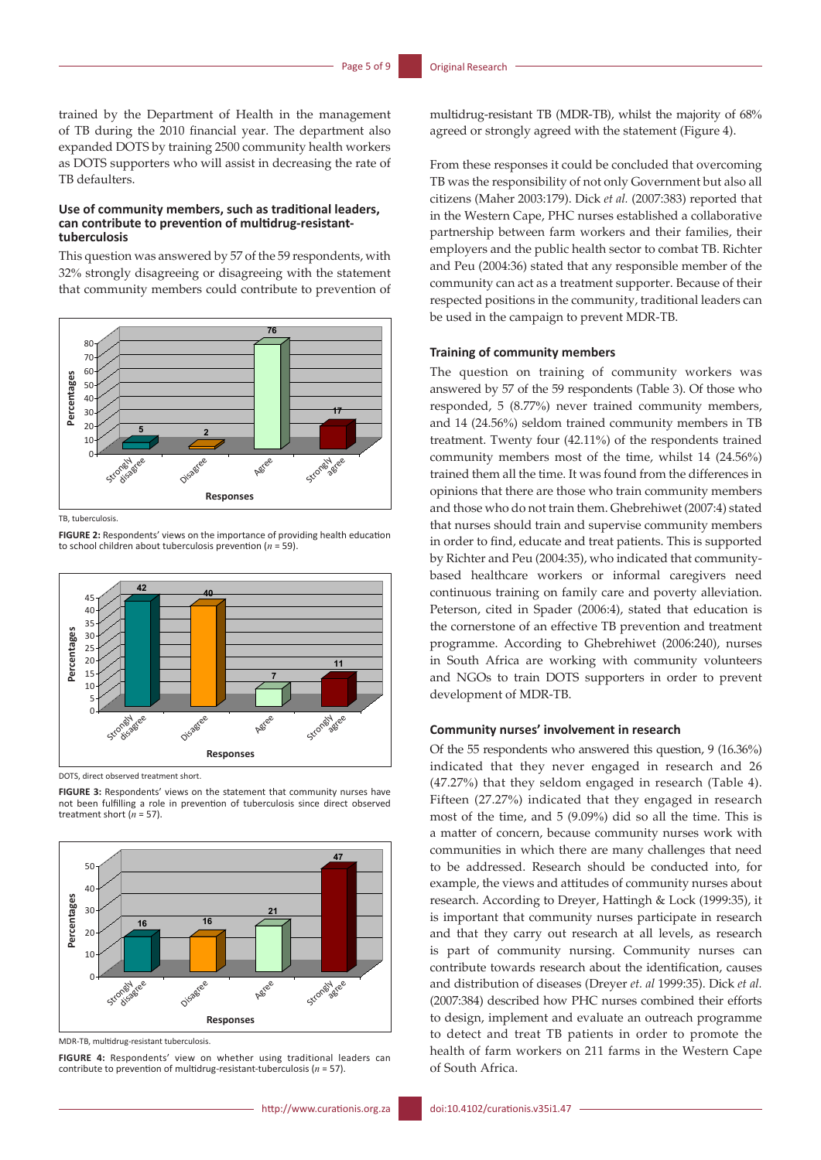trained by the Department of Health in the management of TB during the 2010 financial year. The department also expanded DOTS by training 2500 community health workers as DOTS supporters who will assist in decreasing the rate of TB defaulters.

#### **Use of community members, such as traditional leaders, can contribute to prevention of multidrug-resistanttuberculosis**

This question was answered by 57 of the 59 respondents, with 32% strongly disagreeing or disagreeing with the statement that community members could contribute to prevention of



TB, tuberculosis.

**FIGURE 2:** Respondents' views on the importance of providing health education to school children about tuberculosis prevention (*n* = 59).



DOTS, direct observed treatment short.

**FIGURE 3:** Respondents' views on the statement that community nurses have not been fulfilling a role in prevention of tuberculosis since direct observed treatment short  $(n = 57)$ .



MDR-TB, multidrug-resistant tuberculosis.

**FIGURE 4:** Respondents' view on whether using traditional leaders can contribute to prevention of multidrug-resistant-tuberculosis (*n* = 57).

From these responses it could be concluded that overcoming TB was the responsibility of not only Government but also all citizens (Maher 2003:179). Dick *et al.* (2007:383) reported that in the Western Cape, PHC nurses established a collaborative partnership between farm workers and their families, their employers and the public health sector to combat TB. Richter and Peu (2004:36) stated that any responsible member of the community can act as a treatment supporter. Because of their respected positions in the community, traditional leaders can be used in the campaign to prevent MDR-TB.

### **Training of community members**

The question on training of community workers was answered by 57 of the 59 respondents (Table 3). Of those who responded, 5 (8.77%) never trained community members, and 14 (24.56%) seldom trained community members in TB treatment. Twenty four (42.11%) of the respondents trained community members most of the time, whilst 14 (24.56%) trained them all the time. It was found from the differences in opinions that there are those who train community members and those who do not train them. Ghebrehiwet (2007:4) stated that nurses should train and supervise community members in order to find, educate and treat patients. This is supported by Richter and Peu (2004:35), who indicated that communitybased healthcare workers or informal caregivers need continuous training on family care and poverty alleviation. Peterson, cited in Spader (2006:4), stated that education is the cornerstone of an effective TB prevention and treatment programme. According to Ghebrehiwet (2006:240), nurses in South Africa are working with community volunteers and NGOs to train DOTS supporters in order to prevent development of MDR-TB.

#### **Community nurses' involvement in research**

Of the 55 respondents who answered this question, 9 (16.36%) indicated that they never engaged in research and 26 (47.27%) that they seldom engaged in research (Table 4). Fifteen (27.27%) indicated that they engaged in research most of the time, and 5 (9.09%) did so all the time. This is a matter of concern, because community nurses work with communities in which there are many challenges that need to be addressed. Research should be conducted into, for example, the views and attitudes of community nurses about research. According to Dreyer, Hattingh & Lock (1999:35), it is important that community nurses participate in research and that they carry out research at all levels, as research is part of community nursing. Community nurses can contribute towards research about the identification, causes and distribution of diseases (Dreyer *et. al* 1999:35). Dick *et al.* (2007:384) described how PHC nurses combined their efforts to design, implement and evaluate an outreach programme to detect and treat TB patients in order to promote the health of farm workers on 211 farms in the Western Cape of South Africa.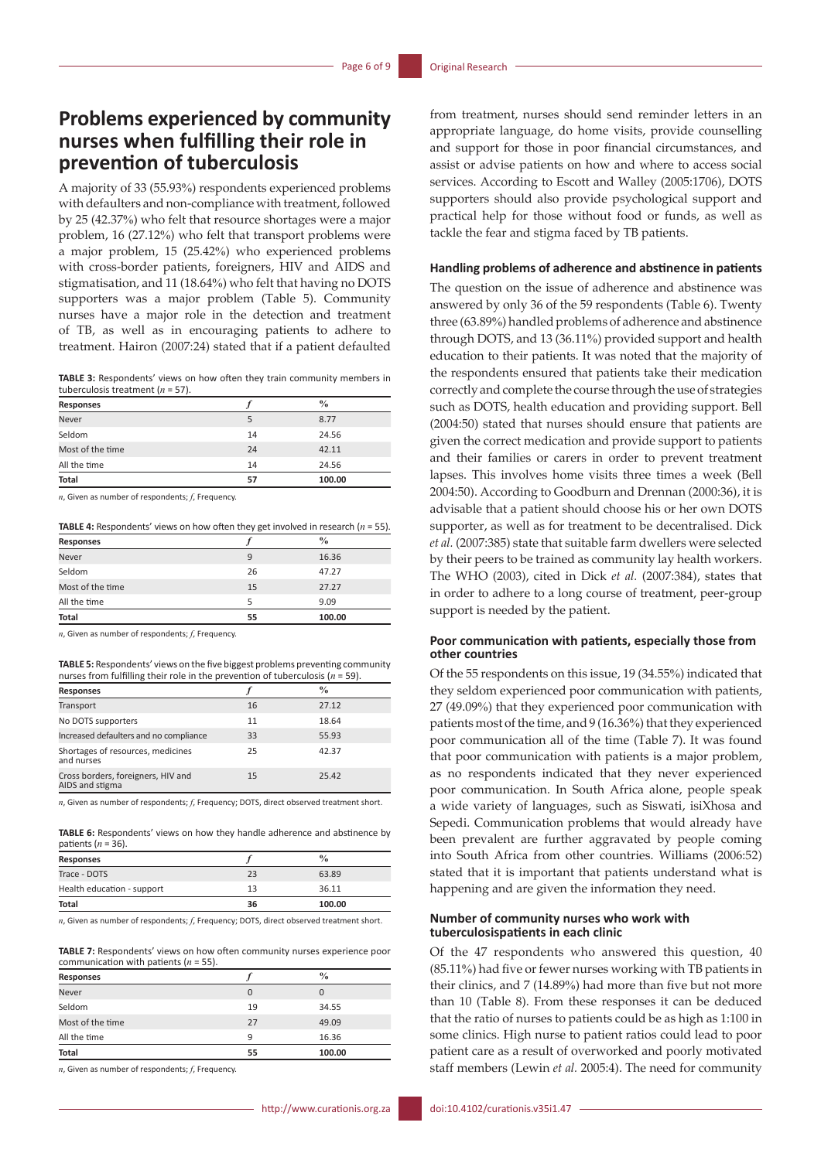## **Problems experienced by community nurses when fulfilling their role in prevention of tuberculosis**

A majority of 33 (55.93%) respondents experienced problems with defaulters and non-compliance with treatment, followed by 25 (42.37%) who felt that resource shortages were a major problem, 16 (27.12%) who felt that transport problems were a major problem, 15 (25.42%) who experienced problems with cross-border patients, foreigners, HIV and AIDS and stigmatisation, and 11 (18.64%) who felt that having no DOTS supporters was a major problem (Table 5). Community nurses have a major role in the detection and treatment of TB, as well as in encouraging patients to adhere to treatment. Hairon (2007:24) stated that if a patient defaulted

**TABLE 3:** Respondents' views on how often they train community members in tuberculosis treatment (*n* = 57).

| Responses        |    | $\%$   |
|------------------|----|--------|
| Never            | 5  | 8.77   |
| Seldom           | 14 | 24.56  |
| Most of the time | 24 | 42.11  |
| All the time     | 14 | 24.56  |
| <b>Total</b>     | 57 | 100.00 |

*n*, Given as number of respondents; *f*, Frequency.

| Responses        |    | $\frac{0}{0}$ |
|------------------|----|---------------|
| Never            | 9  | 16.36         |
| Seldom           | 26 | 47.27         |
| Most of the time | 15 | 27.27         |
| All the time     | 5  | 9.09          |
| Total            | 55 | 100.00        |
|                  |    |               |

*n*, Given as number of respondents; *f*, Frequency.

**TABLE 5:** Respondents' views on the five biggest problems preventing community nurses from fulfilling their role in the prevention of tuberculosis (*n* = 59).

| Responses                                             |    | $\frac{0}{0}$ |  |
|-------------------------------------------------------|----|---------------|--|
| Transport                                             | 16 | 27.12         |  |
| No DOTS supporters                                    | 11 | 18.64         |  |
| Increased defaulters and no compliance                | 33 | 55.93         |  |
| Shortages of resources, medicines<br>and nurses       | 25 | 42.37         |  |
| Cross borders, foreigners, HIV and<br>AIDS and stigma | 15 | 25.42         |  |

*n*, Given as number of respondents; *f*, Frequency: DOTS, direct observed treatment short.

**TABLE 6:** Respondents' views on how they handle adherence and abstinence by patients (*n* = 36).

| Responses                  |    | $\frac{0}{0}$ |  |
|----------------------------|----|---------------|--|
| Trace - DOTS               | 23 | 63.89         |  |
| Health education - support | 13 | 36.11         |  |
| <b>Total</b>               | 36 | 100.00        |  |

*n*, Given as number of respondents; *f*, Frequency; DOTS, direct observed treatment short.

**TABLE 7:** Respondents' views on how often community nurses experience poor communication with patients (*n* = 55).

| Responses        |          | $\frac{0}{0}$ |
|------------------|----------|---------------|
| Never            | $\Omega$ |               |
| Seldom           | 19       | 34.55         |
| Most of the time | 27       | 49.09         |
| All the time     | q        | 16.36         |
| <b>Total</b>     | 55       | 100.00        |

*n*, Given as number of respondents; *f*, Frequency.

from treatment, nurses should send reminder letters in an appropriate language, do home visits, provide counselling and support for those in poor financial circumstances, and assist or advise patients on how and where to access social services. According to Escott and Walley (2005:1706), DOTS supporters should also provide psychological support and practical help for those without food or funds, as well as tackle the fear and stigma faced by TB patients.

#### **Handling problems of adherence and abstinence in patients**

The question on the issue of adherence and abstinence was answered by only 36 of the 59 respondents (Table 6). Twenty three (63.89%) handled problems of adherence and abstinence through DOTS, and 13 (36.11%) provided support and health education to their patients. It was noted that the majority of the respondents ensured that patients take their medication correctly and complete the course through the use of strategies such as DOTS, health education and providing support. Bell (2004:50) stated that nurses should ensure that patients are given the correct medication and provide support to patients and their families or carers in order to prevent treatment lapses. This involves home visits three times a week (Bell 2004:50). According to Goodburn and Drennan (2000:36), it is advisable that a patient should choose his or her own DOTS supporter, as well as for treatment to be decentralised. Dick *et al.* (2007:385) state that suitable farm dwellers were selected by their peers to be trained as community lay health workers. The WHO (2003), cited in Dick *et al.* (2007:384), states that in order to adhere to a long course of treatment, peer-group support is needed by the patient.

### **Poor communication with patients, especially those from other countries**

Of the 55 respondents on this issue, 19 (34.55%) indicated that they seldom experienced poor communication with patients, 27 (49.09%) that they experienced poor communication with patients most of the time, and 9 (16.36%) that they experienced poor communication all of the time (Table 7). It was found that poor communication with patients is a major problem, as no respondents indicated that they never experienced poor communication. In South Africa alone, people speak a wide variety of languages, such as Siswati, isiXhosa and Sepedi. Communication problems that would already have been prevalent are further aggravated by people coming into South Africa from other countries. Williams (2006:52) stated that it is important that patients understand what is happening and are given the information they need.

#### **Number of community nurses who work with tuberculosispatients in each clinic**

Of the 47 respondents who answered this question, 40 (85.11%) had five or fewer nurses working with TB patients in their clinics, and 7 (14.89%) had more than five but not more than 10 (Table 8). From these responses it can be deduced that the ratio of nurses to patients could be as high as 1:100 in some clinics. High nurse to patient ratios could lead to poor patient care as a result of overworked and poorly motivated staff members (Lewin *et al.* 2005:4). The need for community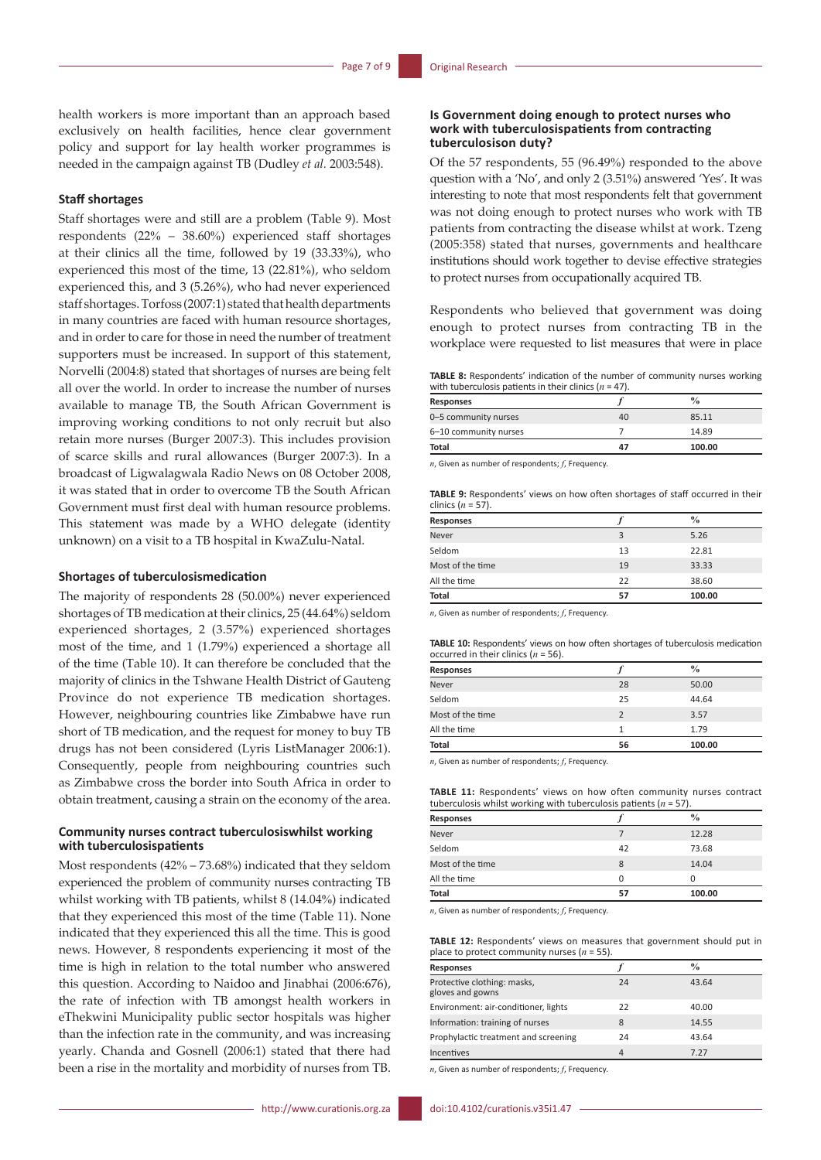health workers is more important than an approach based exclusively on health facilities, hence clear government policy and support for lay health worker programmes is needed in the campaign against TB (Dudley *et al.* 2003:548).

#### **Staff shortages**

Staff shortages were and still are a problem (Table 9). Most respondents (22% – 38.60%) experienced staff shortages at their clinics all the time, followed by 19 (33.33%), who experienced this most of the time, 13 (22.81%), who seldom experienced this, and 3 (5.26%), who had never experienced staff shortages. Torfoss (2007:1) stated that health departments in many countries are faced with human resource shortages, and in order to care for those in need the number of treatment supporters must be increased. In support of this statement, Norvelli (2004:8) stated that shortages of nurses are being felt all over the world. In order to increase the number of nurses available to manage TB, the South African Government is improving working conditions to not only recruit but also retain more nurses (Burger 2007:3). This includes provision of scarce skills and rural allowances (Burger 2007:3). In a broadcast of Ligwalagwala Radio News on 08 October 2008, it was stated that in order to overcome TB the South African Government must first deal with human resource problems. This statement was made by a WHO delegate (identity unknown) on a visit to a TB hospital in KwaZulu-Natal.

#### **Shortages of tuberculosismedication**

The majority of respondents 28 (50.00%) never experienced shortages of TB medication at their clinics, 25 (44.64%) seldom experienced shortages, 2 (3.57%) experienced shortages most of the time, and 1 (1.79%) experienced a shortage all of the time (Table 10). It can therefore be concluded that the majority of clinics in the Tshwane Health District of Gauteng Province do not experience TB medication shortages. However, neighbouring countries like Zimbabwe have run short of TB medication, and the request for money to buy TB drugs has not been considered (Lyris ListManager 2006:1). Consequently, people from neighbouring countries such as Zimbabwe cross the border into South Africa in order to obtain treatment, causing a strain on the economy of the area.

### **Community nurses contract tuberculosiswhilst working with tuberculosispatients**

Most respondents (42% – 73.68%) indicated that they seldom experienced the problem of community nurses contracting TB whilst working with TB patients, whilst 8 (14.04%) indicated that they experienced this most of the time (Table 11). None indicated that they experienced this all the time. This is good news. However, 8 respondents experiencing it most of the time is high in relation to the total number who answered this question. According to Naidoo and Jinabhai (2006:676), the rate of infection with TB amongst health workers in eThekwini Municipality public sector hospitals was higher than the infection rate in the community, and was increasing yearly. Chanda and Gosnell (2006:1) stated that there had been a rise in the mortality and morbidity of nurses from TB.

### **Is Government doing enough to protect nurses who work with tuberculosispatients from contracting tuberculosison duty?**

Of the 57 respondents, 55 (96.49%) responded to the above question with a 'No', and only 2 (3.51%) answered 'Yes'. It was interesting to note that most respondents felt that government was not doing enough to protect nurses who work with TB patients from contracting the disease whilst at work. Tzeng (2005:358) stated that nurses, governments and healthcare institutions should work together to devise effective strategies to protect nurses from occupationally acquired TB.

Respondents who believed that government was doing enough to protect nurses from contracting TB in the workplace were requested to list measures that were in place

**TABLE 8:** Respondents' indication of the number of community nurses working with tuberculosis patients in their clinics ( $n = 47$ ).

| Responses             |    | $\frac{0}{0}$ |
|-----------------------|----|---------------|
| 0-5 community nurses  | 40 | 85.11         |
| 6-10 community nurses |    | 14.89         |
| <b>Total</b>          | 47 | 100.00        |

*n*, Given as number of respondents; *f*, Frequency.

**TABLE 9:** Respondents' views on how often shortages of staff occurred in their clinics  $(n = 57)$ .

| Responses        |    | $\%$   |
|------------------|----|--------|
| Never            | 3  | 5.26   |
| Seldom           | 13 | 22.81  |
| Most of the time | 19 | 33.33  |
| All the time     | 22 | 38.60  |
| <b>Total</b>     | 57 | 100.00 |

*n*, Given as number of respondents; *f*, Frequency.

**TABLE 10:** Respondents' views on how often shortages of tuberculosis medication occurred in their clinics (*n* = 56).

| Responses        |               | $\frac{0}{0}$ |
|------------------|---------------|---------------|
| Never            | 28            | 50.00         |
| Seldom           | 25            | 44.64         |
| Most of the time | $\mathcal{P}$ | 3.57          |
| All the time     |               | 1.79          |
| Total            | 56            | 100.00        |

*n*, Given as number of respondents; *f*, Frequency.

**TABLE 11:** Respondents' views on how often community nurses contract tuberculosis whilst working with tuberculosis patients (*n* = 57).

| <b>Responses</b> |    | $\frac{0}{0}$ |
|------------------|----|---------------|
| Never            |    | 12.28         |
| Seldom           | 42 | 73.68         |
| Most of the time | 8  | 14.04         |
| All the time     | 0  | O             |
| Total            | 57 | 100.00        |

*n*, Given as number of respondents; *f*, Frequency.

**TABLE 12:** Respondents' views on measures that government should put in place to protect community nurses (*n* = 55).

| Responses                                       |    | $\frac{0}{0}$ |  |
|-------------------------------------------------|----|---------------|--|
| Protective clothing: masks,<br>gloves and gowns | 24 | 43.64         |  |
| Environment: air-conditioner, lights            | 22 | 40.00         |  |
| Information: training of nurses                 | 8  | 14.55         |  |
| Prophylactic treatment and screening            | 24 | 43.64         |  |
| Incentives                                      | 4  | 7.27          |  |

*n*, Given as number of respondents; *f*, Frequency.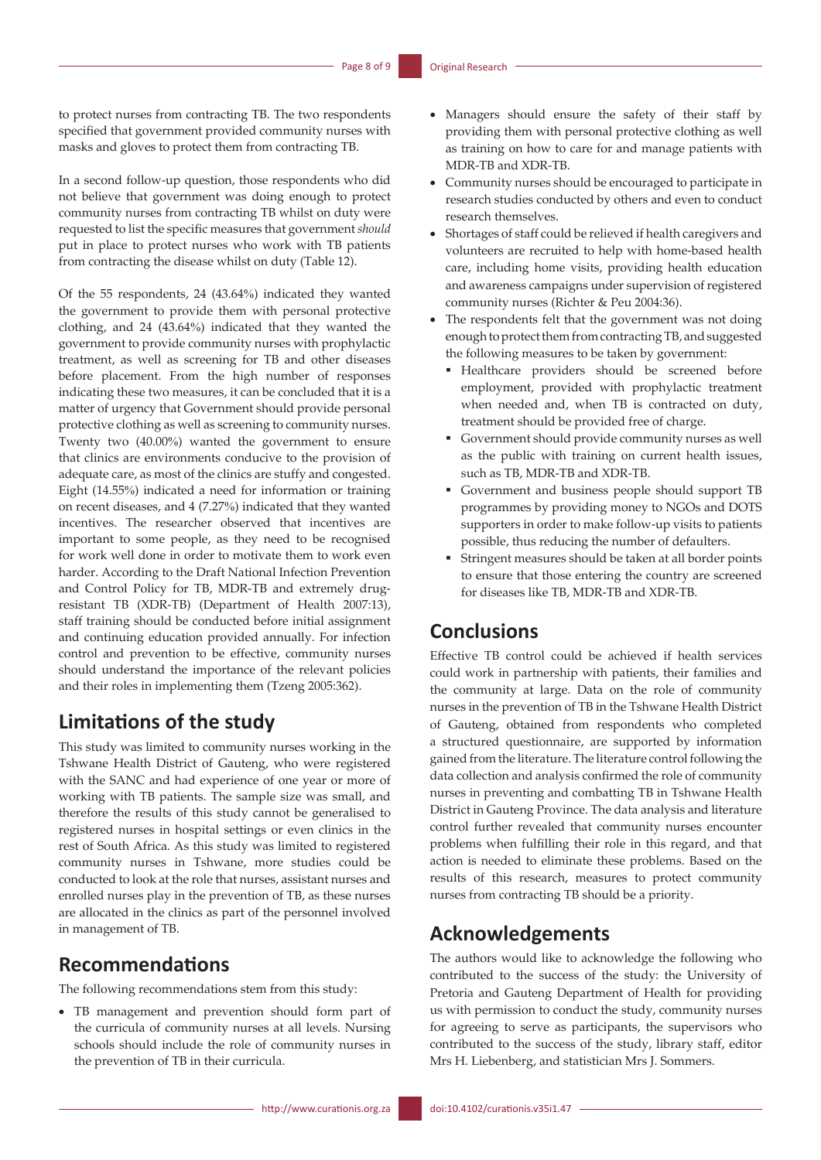to protect nurses from contracting TB. The two respondents specified that government provided community nurses with masks and gloves to protect them from contracting TB.

In a second follow-up question, those respondents who did not believe that government was doing enough to protect community nurses from contracting TB whilst on duty were requested to list the specific measures that government *should* put in place to protect nurses who work with TB patients from contracting the disease whilst on duty (Table 12).

Of the 55 respondents, 24 (43.64%) indicated they wanted the government to provide them with personal protective clothing, and 24 (43.64%) indicated that they wanted the government to provide community nurses with prophylactic treatment, as well as screening for TB and other diseases before placement. From the high number of responses indicating these two measures, it can be concluded that it is a matter of urgency that Government should provide personal protective clothing as well as screening to community nurses. Twenty two (40.00%) wanted the government to ensure that clinics are environments conducive to the provision of adequate care, as most of the clinics are stuffy and congested. Eight (14.55%) indicated a need for information or training on recent diseases, and 4 (7.27%) indicated that they wanted incentives. The researcher observed that incentives are important to some people, as they need to be recognised for work well done in order to motivate them to work even harder. According to the Draft National Infection Prevention and Control Policy for TB, MDR-TB and extremely drugresistant TB (XDR-TB) (Department of Health 2007:13), staff training should be conducted before initial assignment and continuing education provided annually. For infection control and prevention to be effective, community nurses should understand the importance of the relevant policies and their roles in implementing them (Tzeng 2005:362).

## **Limitations of the study**

This study was limited to community nurses working in the Tshwane Health District of Gauteng, who were registered with the SANC and had experience of one year or more of working with TB patients. The sample size was small, and therefore the results of this study cannot be generalised to registered nurses in hospital settings or even clinics in the rest of South Africa. As this study was limited to registered community nurses in Tshwane, more studies could be conducted to look at the role that nurses, assistant nurses and enrolled nurses play in the prevention of TB, as these nurses are allocated in the clinics as part of the personnel involved in management of TB.

## **Recommendations**

The following recommendations stem from this study:

• TB management and prevention should form part of the curricula of community nurses at all levels. Nursing schools should include the role of community nurses in the prevention of TB in their curricula.

- Community nurses should be encouraged to participate in research studies conducted by others and even to conduct research themselves.
- Shortages of staff could be relieved if health caregivers and volunteers are recruited to help with home-based health care, including home visits, providing health education and awareness campaigns under supervision of registered community nurses (Richter & Peu 2004:36).
- The respondents felt that the government was not doing enough to protect them from contracting TB, and suggested the following measures to be taken by government:
	- Healthcare providers should be screened before employment, provided with prophylactic treatment when needed and, when TB is contracted on duty, treatment should be provided free of charge.
	- Government should provide community nurses as well as the public with training on current health issues, such as TB, MDR-TB and XDR-TB.
	- Government and business people should support TB programmes by providing money to NGOs and DOTS supporters in order to make follow-up visits to patients possible, thus reducing the number of defaulters.
	- Stringent measures should be taken at all border points to ensure that those entering the country are screened for diseases like TB, MDR-TB and XDR-TB.

## **Conclusions**

Effective TB control could be achieved if health services could work in partnership with patients, their families and the community at large. Data on the role of community nurses in the prevention of TB in the Tshwane Health District of Gauteng, obtained from respondents who completed a structured questionnaire, are supported by information gained from the literature. The literature control following the data collection and analysis confirmed the role of community nurses in preventing and combatting TB in Tshwane Health District in Gauteng Province. The data analysis and literature control further revealed that community nurses encounter problems when fulfilling their role in this regard, and that action is needed to eliminate these problems. Based on the results of this research, measures to protect community nurses from contracting TB should be a priority.

## **Acknowledgements**

The authors would like to acknowledge the following who contributed to the success of the study: the University of Pretoria and Gauteng Department of Health for providing us with permission to conduct the study, community nurses for agreeing to serve as participants, the supervisors who contributed to the success of the study, library staff, editor Mrs H. Liebenberg, and statistician Mrs J. Sommers.